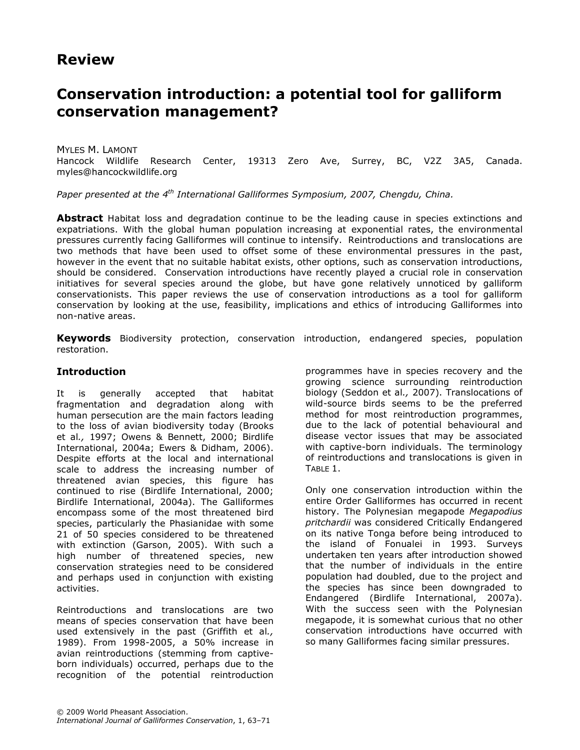## Review

# Conservation introduction: a potential tool for galliform conservation management?

MYLES M. LAMONT Hancock Wildlife Research Center, 19313 Zero Ave, Surrey, BC, V2Z 3A5, Canada. myles@hancockwildlife.org

Paper presented at the  $4<sup>th</sup>$  International Galliformes Symposium, 2007, Chengdu, China.

Abstract Habitat loss and degradation continue to be the leading cause in species extinctions and expatriations. With the global human population increasing at exponential rates, the environmental pressures currently facing Galliformes will continue to intensify. Reintroductions and translocations are two methods that have been used to offset some of these environmental pressures in the past, however in the event that no suitable habitat exists, other options, such as conservation introductions, should be considered. Conservation introductions have recently played a crucial role in conservation initiatives for several species around the globe, but have gone relatively unnoticed by galliform conservationists. This paper reviews the use of conservation introductions as a tool for galliform conservation by looking at the use, feasibility, implications and ethics of introducing Galliformes into non-native areas.

Keywords Biodiversity protection, conservation introduction, endangered species, population restoration.

#### **Introduction**

It is generally accepted that habitat fragmentation and degradation along with human persecution are the main factors leading to the loss of avian biodiversity today (Brooks et al., 1997; Owens & Bennett, 2000; Birdlife International, 2004a; Ewers & Didham, 2006). Despite efforts at the local and international scale to address the increasing number of threatened avian species, this figure has continued to rise (Birdlife International, 2000; Birdlife International, 2004a). The Galliformes encompass some of the most threatened bird species, particularly the Phasianidae with some 21 of 50 species considered to be threatened with extinction (Garson, 2005). With such a high number of threatened species, new conservation strategies need to be considered and perhaps used in conjunction with existing activities.

Reintroductions and translocations are two means of species conservation that have been used extensively in the past (Griffith et al., 1989). From 1998-2005, a 50% increase in avian reintroductions (stemming from captiveborn individuals) occurred, perhaps due to the recognition of the potential reintroduction programmes have in species recovery and the growing science surrounding reintroduction biology (Seddon et al., 2007). Translocations of wild-source birds seems to be the preferred method for most reintroduction programmes, due to the lack of potential behavioural and disease vector issues that may be associated with captive-born individuals. The terminology of reintroductions and translocations is given in TABLE 1.

Only one conservation introduction within the entire Order Galliformes has occurred in recent history. The Polynesian megapode Megapodius pritchardii was considered Critically Endangered on its native Tonga before being introduced to the island of Fonualei in 1993. Surveys undertaken ten years after introduction showed that the number of individuals in the entire population had doubled, due to the project and the species has since been downgraded to Endangered (Birdlife International, 2007a). With the success seen with the Polynesian megapode, it is somewhat curious that no other conservation introductions have occurred with so many Galliformes facing similar pressures.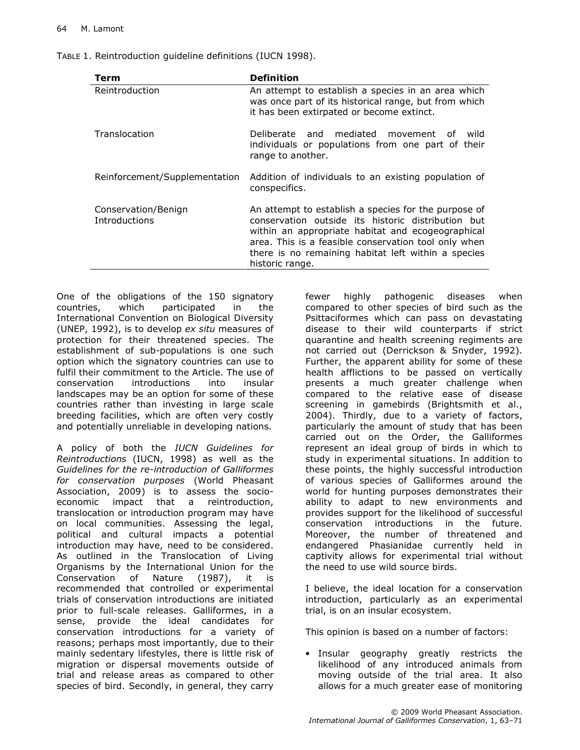| TABLE 1. Reintroduction guideline definitions (IUCN 1998). |  |
|------------------------------------------------------------|--|
|------------------------------------------------------------|--|

| Term                                 | <b>Definition</b>                                                                                                                                                                                                                                                                                 |
|--------------------------------------|---------------------------------------------------------------------------------------------------------------------------------------------------------------------------------------------------------------------------------------------------------------------------------------------------|
| Reintroduction                       | An attempt to establish a species in an area which<br>was once part of its historical range, but from which<br>it has been extirpated or become extinct.                                                                                                                                          |
| Translocation                        | Deliberate and mediated movement of<br>wild<br>individuals or populations from one part of their<br>range to another.                                                                                                                                                                             |
| Reinforcement/Supplementation        | Addition of individuals to an existing population of<br>conspecifics.                                                                                                                                                                                                                             |
| Conservation/Benign<br>Introductions | An attempt to establish a species for the purpose of<br>conservation outside its historic distribution but<br>within an appropriate habitat and ecogeographical<br>area. This is a feasible conservation tool only when<br>there is no remaining habitat left within a species<br>historic range. |

One of the obligations of the 150 signatory countries, which participated in the International Convention on Biological Diversity (UNEP, 1992), is to develop ex situ measures of protection for their threatened species. The establishment of sub-populations is one such option which the signatory countries can use to fulfil their commitment to the Article. The use of conservation introductions into insular landscapes may be an option for some of these countries rather than investing in large scale breeding facilities, which are often very costly and potentially unreliable in developing nations.

A policy of both the IUCN Guidelines for Reintroductions (IUCN, 1998) as well as the Guidelines for the re-introduction of Galliformes for conservation purposes (World Pheasant Association, 2009) is to assess the socioeconomic impact that a reintroduction, translocation or introduction program may have on local communities. Assessing the legal, political and cultural impacts a potential introduction may have, need to be considered. As outlined in the Translocation of Living Organisms by the International Union for the Conservation of Nature (1987), it is recommended that controlled or experimental trials of conservation introductions are initiated prior to full-scale releases. Galliformes, in a sense, provide the ideal candidates for conservation introductions for a variety of reasons; perhaps most importantly, due to their mainly sedentary lifestyles, there is little risk of migration or dispersal movements outside of trial and release areas as compared to other species of bird. Secondly, in general, they carry fewer highly pathogenic diseases when compared to other species of bird such as the Psittaciformes which can pass on devastating disease to their wild counterparts if strict quarantine and health screening regiments are not carried out (Derrickson & Snyder, 1992). Further, the apparent ability for some of these health afflictions to be passed on vertically presents a much greater challenge when compared to the relative ease of disease screening in gamebirds (Brightsmith et al., 2004). Thirdly, due to a variety of factors, particularly the amount of study that has been carried out on the Order, the Galliformes represent an ideal group of birds in which to study in experimental situations. In addition to these points, the highly successful introduction of various species of Galliformes around the world for hunting purposes demonstrates their ability to adapt to new environments and provides support for the likelihood of successful conservation introductions in the future. Moreover, the number of threatened and endangered Phasianidae currently held in captivity allows for experimental trial without the need to use wild source birds.

I believe, the ideal location for a conservation introduction, particularly as an experimental trial, is on an insular ecosystem.

This opinion is based on a number of factors:

• Insular geography greatly restricts the likelihood of any introduced animals from moving outside of the trial area. It also allows for a much greater ease of monitoring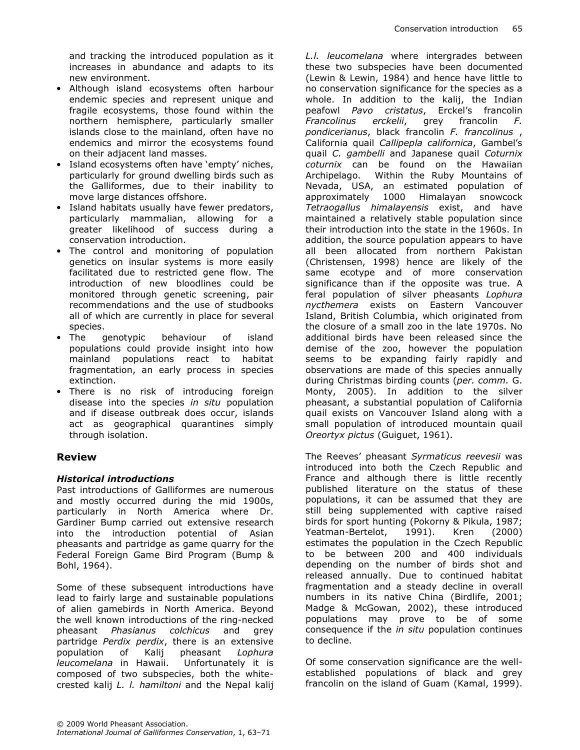and tracking the introduced population as it increases in abundance and adapts to its new environment.

- Although island ecosystems often harbour endemic species and represent unique and fragile ecosystems, those found within the northern hemisphere, particularly smaller islands close to the mainland, often have no endemics and mirror the ecosystems found on their adjacent land masses.
- Island ecosystems often have 'empty' niches, particularly for ground dwelling birds such as the Galliformes, due to their inability to move large distances offshore.
- Island habitats usually have fewer predators, particularly mammalian, allowing for a greater likelihood of success during a conservation introduction.
- The control and monitoring of population genetics on insular systems is more easily facilitated due to restricted gene flow. The introduction of new bloodlines could be monitored through genetic screening, pair recommendations and the use of studbooks all of which are currently in place for several species.
- The genotypic behaviour of island populations could provide insight into how mainland populations react to habitat fragmentation, an early process in species extinction.
- There is no risk of introducing foreign disease into the species in situ population and if disease outbreak does occur, islands act as geographical quarantines simply through isolation.

#### Review

#### Historical introductions

Past introductions of Galliformes are numerous and mostly occurred during the mid 1900s, particularly in North America where Dr. Gardiner Bump carried out extensive research into the introduction potential of Asian pheasants and partridge as game quarry for the Federal Foreign Game Bird Program (Bump & Bohl, 1964).

Some of these subsequent introductions have lead to fairly large and sustainable populations of alien gamebirds in North America. Beyond the well known introductions of the ring-necked pheasant Phasianus colchicus and grey partridge Perdix perdix, there is an extensive population of Kalij pheasant Lophura leucomelana in Hawaii. Unfortunately it is composed of two subspecies, both the whitecrested kalij L. l. hamiltoni and the Nepal kalij L.I. leucomelana where intergrades between these two subspecies have been documented (Lewin & Lewin, 1984) and hence have little to no conservation significance for the species as a whole. In addition to the kalij, the Indian peafowl Pavo cristatus, Erckel's francolin Francolinus erckelii, grey francolin F. pondicerianus, black francolin F. francolinus , California quail Callipepla californica, Gambel's quail C. gambelli and Japanese quail Coturnix coturnix can be found on the Hawaiian Archipelago. Within the Ruby Mountains of Nevada, USA, an estimated population of approximately 1000 Himalayan snowcock Tetraogallus himalayensis exist, and have maintained a relatively stable population since their introduction into the state in the 1960s. In addition, the source population appears to have all been allocated from northern Pakistan (Christensen, 1998) hence are likely of the same ecotype and of more conservation significance than if the opposite was true. A feral population of silver pheasants Lophura nycthemera exists on Eastern Vancouver Island, British Columbia, which originated from the closure of a small zoo in the late 1970s. No additional birds have been released since the demise of the zoo, however the population seems to be expanding fairly rapidly and observations are made of this species annually during Christmas birding counts (per. comm. G. Monty, 2005). In addition to the silver pheasant, a substantial population of California quail exists on Vancouver Island along with a small population of introduced mountain quail Oreortyx pictus (Guiguet, 1961).

The Reeves' pheasant Syrmaticus reevesii was introduced into both the Czech Republic and France and although there is little recently published literature on the status of these populations, it can be assumed that they are still being supplemented with captive raised birds for sport hunting (Pokorny & Pikula, 1987; Yeatman-Bertelot, 1991). Kren (2000) estimates the population in the Czech Republic to be between 200 and 400 individuals depending on the number of birds shot and released annually. Due to continued habitat fragmentation and a steady decline in overall numbers in its native China (Birdlife, 2001; Madge & McGowan, 2002), these introduced populations may prove to be of some consequence if the in situ population continues to decline.

Of some conservation significance are the wellestablished populations of black and grey francolin on the island of Guam (Kamal, 1999).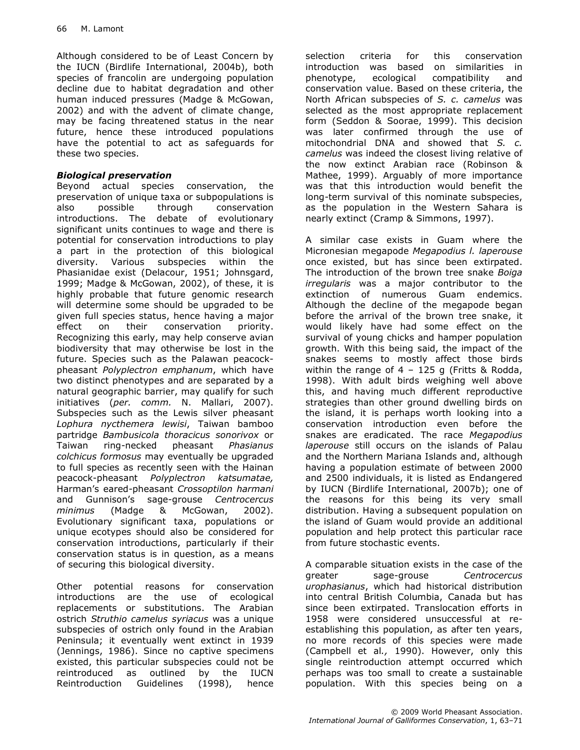Although considered to be of Least Concern by the IUCN (Birdlife International, 2004b), both species of francolin are undergoing population decline due to habitat degradation and other human induced pressures (Madge & McGowan, 2002) and with the advent of climate change, may be facing threatened status in the near future, hence these introduced populations have the potential to act as safeguards for these two species.

#### Biological preservation

Beyond actual species conservation, the preservation of unique taxa or subpopulations is also possible through conservation introductions. The debate of evolutionary significant units continues to wage and there is potential for conservation introductions to play a part in the protection of this biological diversity. Various subspecies within the Phasianidae exist (Delacour, 1951; Johnsgard, 1999; Madge & McGowan, 2002), of these, it is highly probable that future genomic research will determine some should be upgraded to be given full species status, hence having a major effect on their conservation priority. Recognizing this early, may help conserve avian biodiversity that may otherwise be lost in the future. Species such as the Palawan peacockpheasant Polyplectron emphanum, which have two distinct phenotypes and are separated by a natural geographic barrier, may qualify for such initiatives (per. comm. N. Mallari, 2007). Subspecies such as the Lewis silver pheasant Lophura nycthemera lewisi, Taiwan bamboo partridge Bambusicola thoracicus sonorivox or Taiwan ring-necked pheasant Phasianus colchicus formosus may eventually be upgraded to full species as recently seen with the Hainan peacock-pheasant Polyplectron katsumatae, Harman's eared-pheasant Crossoptilon harmani and Gunnison's sage-grouse Centrocercus minimus (Madge & McGowan, 2002). Evolutionary significant taxa, populations or unique ecotypes should also be considered for conservation introductions, particularly if their conservation status is in question, as a means of securing this biological diversity.

Other potential reasons for conservation introductions are the use of ecological replacements or substitutions. The Arabian ostrich Struthio camelus syriacus was a unique subspecies of ostrich only found in the Arabian Peninsula; it eventually went extinct in 1939 (Jennings, 1986). Since no captive specimens existed, this particular subspecies could not be reintroduced as outlined by the IUCN Reintroduction Guidelines (1998), hence

selection criteria for this conservation introduction was based on similarities in phenotype, ecological compatibility and conservation value. Based on these criteria, the North African subspecies of S. c. camelus was selected as the most appropriate replacement form (Seddon & Soorae, 1999). This decision was later confirmed through the use of mitochondrial DNA and showed that S. c. camelus was indeed the closest living relative of the now extinct Arabian race (Robinson & Mathee, 1999). Arguably of more importance was that this introduction would benefit the long-term survival of this nominate subspecies, as the population in the Western Sahara is nearly extinct (Cramp & Simmons, 1997).

A similar case exists in Guam where the Micronesian megapode Megapodius I. laperouse once existed, but has since been extirpated. The introduction of the brown tree snake Boiga irregularis was a major contributor to the extinction of numerous Guam endemics. Although the decline of the megapode began before the arrival of the brown tree snake, it would likely have had some effect on the survival of young chicks and hamper population growth. With this being said, the impact of the snakes seems to mostly affect those birds within the range of  $4 - 125$  g (Fritts & Rodda, 1998). With adult birds weighing well above this, and having much different reproductive strategies than other ground dwelling birds on the island, it is perhaps worth looking into a conservation introduction even before the snakes are eradicated. The race Megapodius laperouse still occurs on the islands of Palau and the Northern Mariana Islands and, although having a population estimate of between 2000 and 2500 individuals, it is listed as Endangered by IUCN (Birdlife International, 2007b); one of the reasons for this being its very small distribution. Having a subsequent population on the island of Guam would provide an additional population and help protect this particular race from future stochastic events.

A comparable situation exists in the case of the greater sage-grouse Centrocercus urophasianus, which had historical distribution into central British Columbia, Canada but has since been extirpated. Translocation efforts in 1958 were considered unsuccessful at reestablishing this population, as after ten years, no more records of this species were made (Campbell et al., 1990). However, only this single reintroduction attempt occurred which perhaps was too small to create a sustainable population. With this species being on a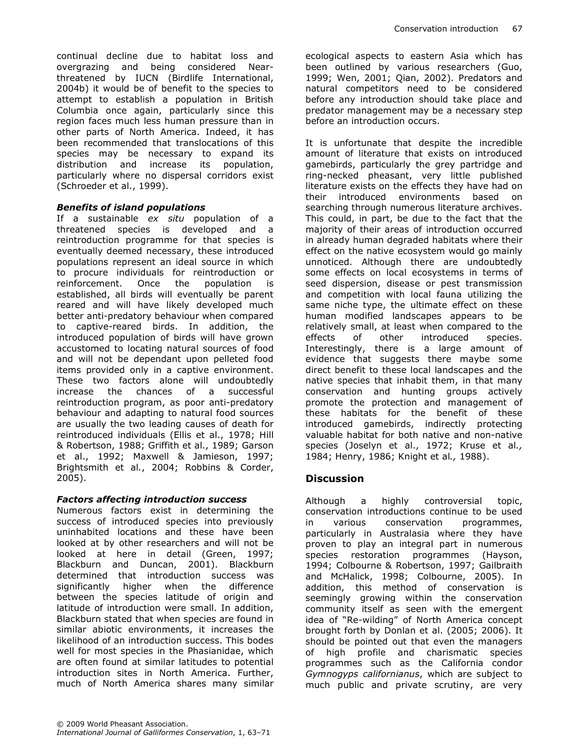continual decline due to habitat loss and overgrazing and being considered Nearthreatened by IUCN (Birdlife International, 2004b) it would be of benefit to the species to attempt to establish a population in British Columbia once again, particularly since this region faces much less human pressure than in other parts of North America. Indeed, it has been recommended that translocations of this species may be necessary to expand its distribution and increase its population, particularly where no dispersal corridors exist (Schroeder et al., 1999).

#### Benefits of island populations

If a sustainable ex situ population of a threatened species is developed and a reintroduction programme for that species is eventually deemed necessary, these introduced populations represent an ideal source in which to procure individuals for reintroduction or reinforcement. Once the population is established, all birds will eventually be parent reared and will have likely developed much better anti-predatory behaviour when compared to captive-reared birds. In addition, the introduced population of birds will have grown accustomed to locating natural sources of food and will not be dependant upon pelleted food items provided only in a captive environment. These two factors alone will undoubtedly increase the chances of a successful reintroduction program, as poor anti-predatory behaviour and adapting to natural food sources are usually the two leading causes of death for reintroduced individuals (Ellis et al., 1978; Hill & Robertson, 1988; Griffith et al., 1989; Garson et al., 1992; Maxwell & Jamieson, 1997; Brightsmith et al., 2004; Robbins & Corder, 2005).

### Factors affecting introduction success

Numerous factors exist in determining the success of introduced species into previously uninhabited locations and these have been looked at by other researchers and will not be looked at here in detail (Green, 1997; Blackburn and Duncan, 2001). Blackburn determined that introduction success was significantly higher when the difference between the species latitude of origin and latitude of introduction were small. In addition, Blackburn stated that when species are found in similar abiotic environments, it increases the likelihood of an introduction success. This bodes well for most species in the Phasianidae, which are often found at similar latitudes to potential introduction sites in North America. Further, much of North America shares many similar ecological aspects to eastern Asia which has been outlined by various researchers (Guo, 1999; Wen, 2001; Qian, 2002). Predators and natural competitors need to be considered before any introduction should take place and predator management may be a necessary step before an introduction occurs.

It is unfortunate that despite the incredible amount of literature that exists on introduced gamebirds, particularly the grey partridge and ring-necked pheasant, very little published literature exists on the effects they have had on their introduced environments based on searching through numerous literature archives. This could, in part, be due to the fact that the majority of their areas of introduction occurred in already human degraded habitats where their effect on the native ecosystem would go mainly unnoticed. Although there are undoubtedly some effects on local ecosystems in terms of seed dispersion, disease or pest transmission and competition with local fauna utilizing the same niche type, the ultimate effect on these human modified landscapes appears to be relatively small, at least when compared to the effects of other introduced species. Interestingly, there is a large amount of evidence that suggests there maybe some direct benefit to these local landscapes and the native species that inhabit them, in that many conservation and hunting groups actively promote the protection and management of these habitats for the benefit of these introduced gamebirds, indirectly protecting valuable habitat for both native and non-native species (Joselyn et al., 1972; Kruse et al., 1984; Henry, 1986; Knight et al., 1988).

## **Discussion**

Although a highly controversial topic, conservation introductions continue to be used in various conservation programmes, particularly in Australasia where they have proven to play an integral part in numerous species restoration programmes (Hayson, 1994; Colbourne & Robertson, 1997; Gailbraith and McHalick, 1998; Colbourne, 2005). In addition, this method of conservation is seemingly growing within the conservation community itself as seen with the emergent idea of "Re-wilding" of North America concept brought forth by Donlan et al. (2005; 2006). It should be pointed out that even the managers of high profile and charismatic species programmes such as the California condor Gymnogyps californianus, which are subject to much public and private scrutiny, are very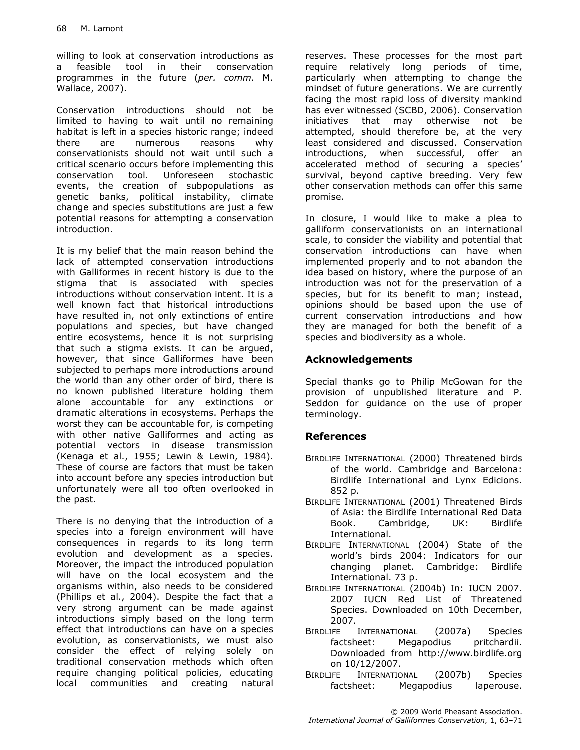willing to look at conservation introductions as a feasible tool in their conservation programmes in the future (per. comm. M. Wallace, 2007).

Conservation introductions should not be limited to having to wait until no remaining habitat is left in a species historic range; indeed there are numerous reasons why conservationists should not wait until such a critical scenario occurs before implementing this conservation tool. Unforeseen stochastic events, the creation of subpopulations as genetic banks, political instability, climate change and species substitutions are just a few potential reasons for attempting a conservation introduction.

It is my belief that the main reason behind the lack of attempted conservation introductions with Galliformes in recent history is due to the stigma that is associated with species introductions without conservation intent. It is a well known fact that historical introductions have resulted in, not only extinctions of entire populations and species, but have changed entire ecosystems, hence it is not surprising that such a stigma exists. It can be argued, however, that since Galliformes have been subjected to perhaps more introductions around the world than any other order of bird, there is no known published literature holding them alone accountable for any extinctions or dramatic alterations in ecosystems. Perhaps the worst they can be accountable for, is competing with other native Galliformes and acting as potential vectors in disease transmission (Kenaga et al., 1955; Lewin & Lewin, 1984). These of course are factors that must be taken into account before any species introduction but unfortunately were all too often overlooked in the past.

There is no denying that the introduction of a species into a foreign environment will have consequences in regards to its long term evolution and development as a species. Moreover, the impact the introduced population will have on the local ecosystem and the organisms within, also needs to be considered (Phillips et al., 2004). Despite the fact that a very strong argument can be made against introductions simply based on the long term effect that introductions can have on a species evolution, as conservationists, we must also consider the effect of relying solely on traditional conservation methods which often require changing political policies, educating local communities and creating natural

reserves. These processes for the most part require relatively long periods of time, particularly when attempting to change the mindset of future generations. We are currently facing the most rapid loss of diversity mankind has ever witnessed (SCBD, 2006). Conservation initiatives that may otherwise not be attempted, should therefore be, at the very least considered and discussed. Conservation introductions, when successful, offer an accelerated method of securing a species' survival, beyond captive breeding. Very few other conservation methods can offer this same promise.

In closure, I would like to make a plea to galliform conservationists on an international scale, to consider the viability and potential that conservation introductions can have when implemented properly and to not abandon the idea based on history, where the purpose of an introduction was not for the preservation of a species, but for its benefit to man; instead, opinions should be based upon the use of current conservation introductions and how they are managed for both the benefit of a species and biodiversity as a whole.

## Acknowledgements

Special thanks go to Philip McGowan for the provision of unpublished literature and P. Seddon for guidance on the use of proper terminology.

## References

- BIRDLIFE INTERNATIONAL (2000) Threatened birds of the world. Cambridge and Barcelona: Birdlife International and Lynx Edicions. 852 p.
- BIRDLIFE INTERNATIONAL (2001) Threatened Birds of Asia: the Birdlife International Red Data Book. Cambridge, UK: Birdlife International.
- BIRDLIFE INTERNATIONAL (2004) State of the world's birds 2004: Indicators for our changing planet. Cambridge: Birdlife International. 73 p.
- BIRDLIFE INTERNATIONAL (2004b) In: IUCN 2007. 2007 IUCN Red List of Threatened Species. Downloaded on 10th December, 2007.
- BIRDLIFE INTERNATIONAL (2007a) Species factsheet: Megapodius pritchardii. Downloaded from http://www.birdlife.org on 10/12/2007.
- BIRDLIFE INTERNATIONAL (2007b) Species factsheet: Megapodius laperouse.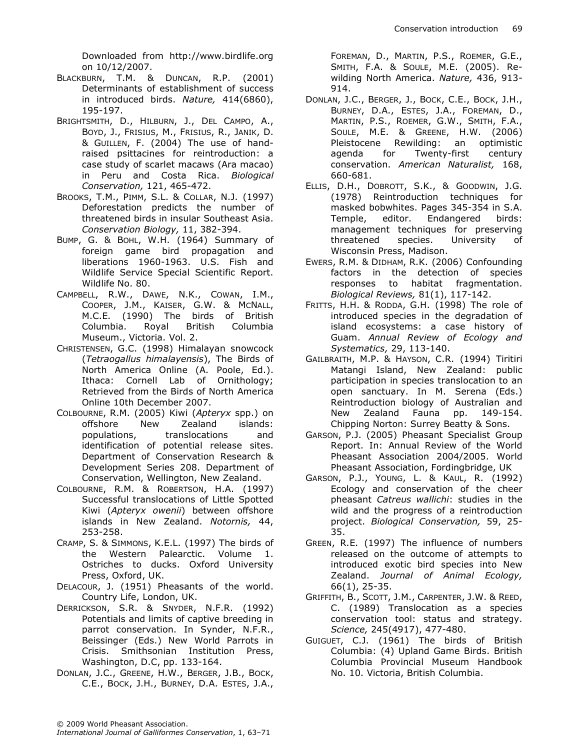Downloaded from http://www.birdlife.org on 10/12/2007.

- BLACKBURN, T.M. & DUNCAN, R.P. (2001) Determinants of establishment of success in introduced birds. Nature, 414(6860), 195-197.
- BRIGHTSMITH, D., HILBURN, J., DEL CAMPO, A., BOYD, J., FRISIUS, M., FRISIUS, R., JANIK, D. & GUILLEN, F. (2004) The use of handraised psittacines for reintroduction: a case study of scarlet macaws (Ara macao) in Peru and Costa Rica. Biological Conservation, 121, 465-472.
- BROOKS, T.M., PIMM, S.L. & COLLAR, N.J. (1997) Deforestation predicts the number of threatened birds in insular Southeast Asia. Conservation Biology, 11, 382-394.
- BUMP, G. & BOHL, W.H. (1964) Summary of foreign game bird propagation and liberations 1960-1963. U.S. Fish and Wildlife Service Special Scientific Report. Wildlife No. 80.
- CAMPBELL, R.W., DAWE, N.K., COWAN, I.M., COOPER, J.M., KAISER, G.W. & MCNALL, M.C.E. (1990) The birds of British Columbia. Royal British Columbia Museum., Victoria. Vol. 2.
- CHRISTENSEN, G.C. (1998) Himalayan snowcock (Tetraogallus himalayensis), The Birds of North America Online (A. Poole, Ed.). Ithaca: Cornell Lab of Ornithology; Retrieved from the Birds of North America Online 10th December 2007.
- COLBOURNE, R.M. (2005) Kiwi (Apteryx spp.) on offshore New Zealand islands: populations, translocations and identification of potential release sites. Department of Conservation Research & Development Series 208. Department of Conservation, Wellington, New Zealand.
- COLBOURNE, R.M. & ROBERTSON, H.A. (1997) Successful translocations of Little Spotted Kiwi (Apteryx owenii) between offshore islands in New Zealand. Notornis, 44, 253-258.
- CRAMP, S. & SIMMONS, K.E.L. (1997) The birds of the Western Palearctic. Volume 1. Ostriches to ducks. Oxford University Press, Oxford, UK.
- DELACOUR, J. (1951) Pheasants of the world. Country Life, London, UK.
- DERRICKSON, S.R. & SNYDER, N.F.R. (1992) Potentials and limits of captive breeding in parrot conservation. In Synder, N.F.R., Beissinger (Eds.) New World Parrots in Crisis. Smithsonian Institution Press, Washington, D.C, pp. 133-164.
- DONLAN, J.C., GREENE, H.W., BERGER, J.B., BOCK, C.E., BOCK, J.H., BURNEY, D.A. ESTES, J.A.,

FOREMAN, D., MARTIN, P.S., ROEMER, G.E., SMITH, F.A. & SOULE, M.E. (2005). Rewilding North America. Nature, 436, 913- 914.

- DONLAN, J.C., BERGER, J., BOCK, C.E., BOCK, J.H., BURNEY, D.A., ESTES, J.A., FOREMAN, D., MARTIN, P.S., ROEMER, G.W., SMITH, F.A., SOULE, M.E. & GREENE, H.W. (2006) Pleistocene Rewilding: an optimistic agenda for Twenty-first century conservation. American Naturalist, 168, 660-681.
- ELLIS, D.H., DOBROTT, S.K., & GOODWIN, J.G. (1978) Reintroduction techniques for masked bobwhites. Pages 345-354 in S.A. Temple, editor. Endangered birds: management techniques for preserving threatened species. University of Wisconsin Press, Madison.
- EWERS, R.M. & DIDHAM, R.K. (2006) Confounding factors in the detection of species responses to habitat fragmentation. Biological Reviews, 81(1), 117-142.
- FRITTS, H.H. & RODDA, G.H. (1998) The role of introduced species in the degradation of island ecosystems: a case history of Guam. Annual Review of Ecology and Systematics, 29, 113-140.
- GAILBRAITH, M.P. & HAYSON, C.R. (1994) Tiritiri Matangi Island, New Zealand: public participation in species translocation to an open sanctuary. In M. Serena (Eds.) Reintroduction biology of Australian and New Zealand Fauna pp. 149-154. Chipping Norton: Surrey Beatty & Sons.
- GARSON, P.J. (2005) Pheasant Specialist Group Report. In: Annual Review of the World Pheasant Association 2004/2005. World Pheasant Association, Fordingbridge, UK
- GARSON, P.J., YOUNG, L. & KAUL, R. (1992) Ecology and conservation of the cheer pheasant Catreus wallichi: studies in the wild and the progress of a reintroduction project. Biological Conservation, 59, 25- 35.
- GREEN, R.E. (1997) The influence of numbers released on the outcome of attempts to introduced exotic bird species into New Zealand. Journal of Animal Ecology, 66(1), 25-35.
- GRIFFITH, B., SCOTT, J.M., CARPENTER, J.W. & REED, C. (1989) Translocation as a species conservation tool: status and strategy. Science, 245(4917), 477-480.
- GUIGUET, C.J. (1961) The birds of British Columbia: (4) Upland Game Birds. British Columbia Provincial Museum Handbook No. 10. Victoria, British Columbia.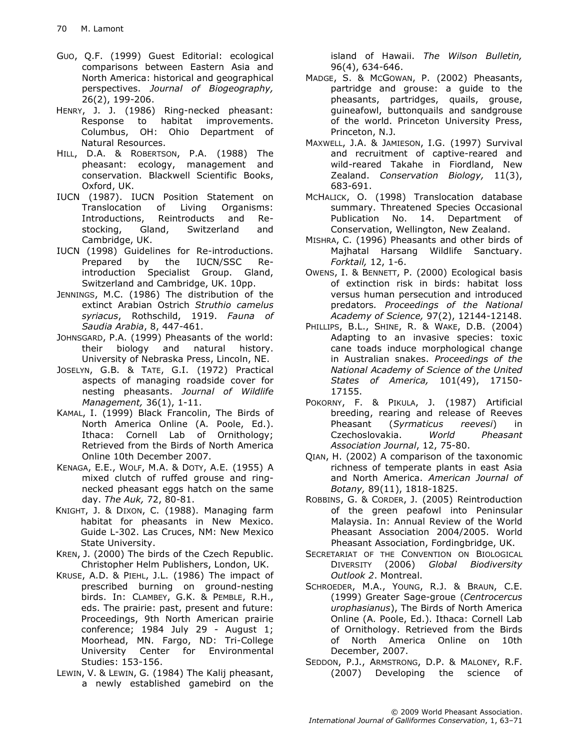- GUO, Q.F. (1999) Guest Editorial: ecological comparisons between Eastern Asia and North America: historical and geographical perspectives. Journal of Biogeography, 26(2), 199-206.
- HENRY, J. J. (1986) Ring-necked pheasant: Response to habitat improvements. Columbus, OH: Ohio Department of Natural Resources.
- HILL, D.A. & ROBERTSON, P.A. (1988) The pheasant: ecology, management and conservation. Blackwell Scientific Books, Oxford, UK.
- IUCN (1987). IUCN Position Statement on Translocation of Living Organisms: Introductions, Reintroducts and Restocking, Gland, Switzerland and Cambridge, UK.
- IUCN (1998) Guidelines for Re-introductions. Prepared by the IUCN/SSC Reintroduction Specialist Group. Gland, Switzerland and Cambridge, UK. 10pp.
- JENNINGS, M.C. (1986) The distribution of the extinct Arabian Ostrich Struthio camelus syriacus, Rothschild, 1919. Fauna of Saudia Arabia, 8, 447-461.
- JOHNSGARD, P.A. (1999) Pheasants of the world: their biology and natural history. University of Nebraska Press, Lincoln, NE.
- JOSELYN, G.B. & TATE, G.I. (1972) Practical aspects of managing roadside cover for nesting pheasants. Journal of Wildlife Management, 36(1), 1-11.
- KAMAL, I. (1999) Black Francolin, The Birds of North America Online (A. Poole, Ed.). Ithaca: Cornell Lab of Ornithology; Retrieved from the Birds of North America Online 10th December 2007.
- KENAGA, E.E., WOLF, M.A. & DOTY, A.E. (1955) A mixed clutch of ruffed grouse and ringnecked pheasant eggs hatch on the same day. The Auk, 72, 80-81.
- KNIGHT, J. & DIXON, C. (1988). Managing farm habitat for pheasants in New Mexico. Guide L-302. Las Cruces, NM: New Mexico State University.
- KREN, J. (2000) The birds of the Czech Republic. Christopher Helm Publishers, London, UK.
- KRUSE, A.D. & PIEHL, J.L. (1986) The impact of prescribed burning on ground-nesting birds. In: CLAMBEY, G.K. & PEMBLE, R.H., eds. The prairie: past, present and future: Proceedings, 9th North American prairie conference; 1984 July 29 - August 1; Moorhead, MN. Fargo, ND: Tri-College University Center for Environmental Studies: 153-156.
- LEWIN, V. & LEWIN, G. (1984) The Kalij pheasant, a newly established gamebird on the

island of Hawaii. The Wilson Bulletin, 96(4), 634-646.

- MADGE, S. & MCGOWAN, P. (2002) Pheasants, partridge and grouse: a guide to the pheasants, partridges, quails, grouse, guineafowl, buttonquails and sandgrouse of the world. Princeton University Press, Princeton, N.J.
- MAXWELL, J.A. & JAMIESON, I.G. (1997) Survival and recruitment of captive-reared and wild-reared Takahe in Fiordland, New Zealand. Conservation Biology, 11(3), 683-691.
- MCHALICK, O. (1998) Translocation database summary. Threatened Species Occasional Publication No. 14. Department of Conservation, Wellington, New Zealand.
- MISHRA, C. (1996) Pheasants and other birds of Majhatal Harsang Wildlife Sanctuary. Forktail, 12, 1-6.
- OWENS, I. & BENNETT, P. (2000) Ecological basis of extinction risk in birds: habitat loss versus human persecution and introduced predators. Proceedings of the National Academy of Science, 97(2), 12144-12148.
- PHILLIPS, B.L., SHINE, R. & WAKE, D.B. (2004) Adapting to an invasive species: toxic cane toads induce morphological change in Australian snakes. Proceedings of the National Academy of Science of the United States of America, 101(49), 17150- 17155.
- POKORNY, F. & PIKULA, J. (1987) Artificial breeding, rearing and release of Reeves Pheasant (Syrmaticus reevesi) in Czechoslovakia. World Pheasant Association Journal, 12, 75-80.
- QIAN, H. (2002) A comparison of the taxonomic richness of temperate plants in east Asia and North America. American Journal of Botany, 89(11), 1818-1825.
- ROBBINS, G. & CORDER, J. (2005) Reintroduction of the green peafowl into Peninsular Malaysia. In: Annual Review of the World Pheasant Association 2004/2005. World Pheasant Association, Fordingbridge, UK.
- SECRETARIAT OF THE CONVENTION ON BIOLOGICAL DIVERSITY (2006) Global Biodiversity Outlook 2. Montreal.
- SCHROEDER, M.A., YOUNG, R.J. & BRAUN, C.E. (1999) Greater Sage-groue (Centrocercus urophasianus), The Birds of North America Online (A. Poole, Ed.). Ithaca: Cornell Lab of Ornithology. Retrieved from the Birds of North America Online on 10th December, 2007.
- SEDDON, P.J., ARMSTRONG, D.P. & MALONEY, R.F. (2007) Developing the science of